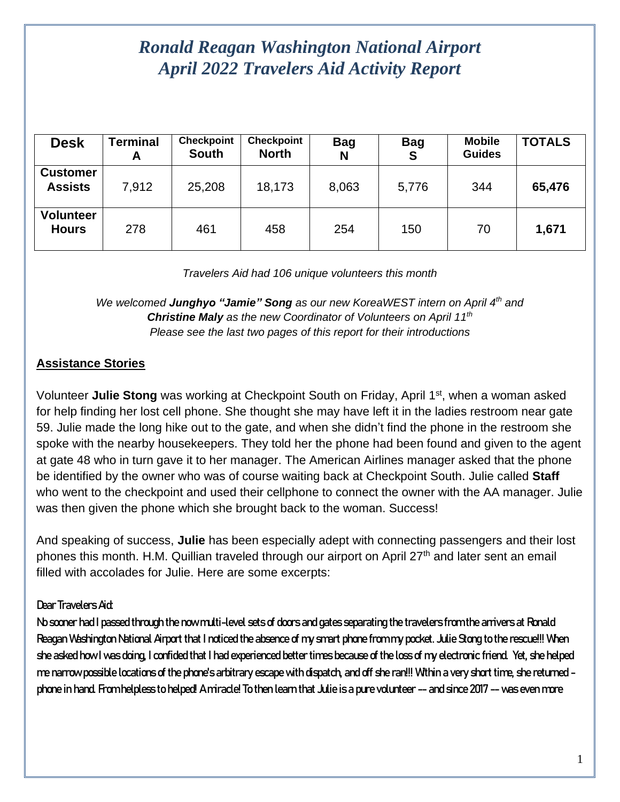# *Ronald Reagan Washington National Airport April 2022 Travelers Aid Activity Report*

| <b>Desk</b>                       | <b>Terminal</b><br>A | <b>Checkpoint</b><br><b>South</b> | <b>Checkpoint</b><br><b>North</b> | <b>Bag</b><br>N | <b>Bag</b><br>S | <b>Mobile</b><br><b>Guides</b> | <b>TOTALS</b> |
|-----------------------------------|----------------------|-----------------------------------|-----------------------------------|-----------------|-----------------|--------------------------------|---------------|
| <b>Customer</b><br><b>Assists</b> | 7,912                | 25,208                            | 18,173                            | 8,063           | 5,776           | 344                            | 65,476        |
| <b>Volunteer</b><br><b>Hours</b>  | 278                  | 461                               | 458                               | 254             | 150             | 70                             | 1,671         |

*Travelers Aid had 106 unique volunteers this month*

*We welcomed Junghyo "Jamie" Song as our new KoreaWEST intern on April 4th and Christine Maly as the new Coordinator of Volunteers on April 11th Please see the last two pages of this report for their introductions*

### **Assistance Stories**

Volunteer **Julie Stong** was working at Checkpoint South on Friday, April 1<sup>st</sup>, when a woman asked for help finding her lost cell phone. She thought she may have left it in the ladies restroom near gate 59. Julie made the long hike out to the gate, and when she didn't find the phone in the restroom she spoke with the nearby housekeepers. They told her the phone had been found and given to the agent at gate 48 who in turn gave it to her manager. The American Airlines manager asked that the phone be identified by the owner who was of course waiting back at Checkpoint South. Julie called **Staff** who went to the checkpoint and used their cellphone to connect the owner with the AA manager. Julie was then given the phone which she brought back to the woman. Success!

And speaking of success, **Julie** has been especially adept with connecting passengers and their lost phones this month. H.M. Quillian traveled through our airport on April 27<sup>th</sup> and later sent an email filled with accolades for Julie. Here are some excerpts:

#### Dear Travelers Aid:

No sooner had I passed through the now multi-level sets of doors and gates separating the travelers from the arrivers at Ronald Reagan Washington National Airport that I noticed the absence of my smart phone from my pocket. Julie Stong to the rescue!!! When she asked how I was doing, I confided that I had experienced better times because of the loss of my electronic friend. Yet, she helped me narrow possible locations of the phone's arbitrary escape with dispatch, and off she ran!!! Within a very short time, she returned phone in hand. From helpless to helped! A miracle! To then learn that Julie is a pure volunteer -- and since 2017 -- was even more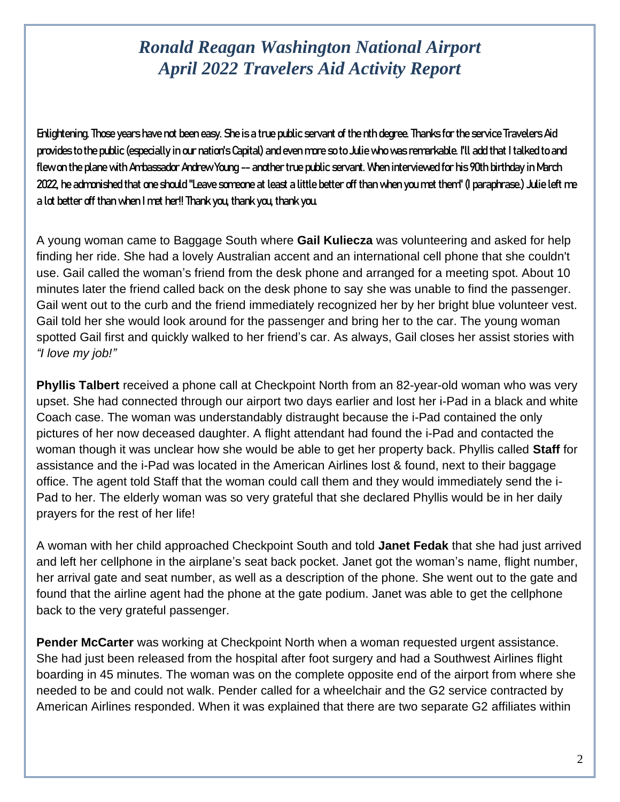# *Ronald Reagan Washington National Airport April 2022 Travelers Aid Activity Report*

Enlightening. Those years have not been easy. She is a true public servant of the nth degree. Thanks for the service Travelers Aid provides to the public (especially in our nation's Capital) and even more so to Julie who was remarkable. I'll add that I talked to and flew on the plane with Ambassador Andrew Young -- another true public servant. When interviewed for his 90th birthday in March 2022, he admonished that one should "Leave someone at least a little better off than when you met them" (I paraphrase.) Julie left me a lot better off than when I met her!! Thank you, thank you, thank you.

A young woman came to Baggage South where **Gail Kuliecza** was volunteering and asked for help finding her ride. She had a lovely Australian accent and an international cell phone that she couldn't use. Gail called the woman's friend from the desk phone and arranged for a meeting spot. About 10 minutes later the friend called back on the desk phone to say she was unable to find the passenger. Gail went out to the curb and the friend immediately recognized her by her bright blue volunteer vest. Gail told her she would look around for the passenger and bring her to the car. The young woman spotted Gail first and quickly walked to her friend's car. As always, Gail closes her assist stories with *"I love my job!"*

**Phyllis Talbert** received a phone call at Checkpoint North from an 82-year-old woman who was very upset. She had connected through our airport two days earlier and lost her i-Pad in a black and white Coach case. The woman was understandably distraught because the i-Pad contained the only pictures of her now deceased daughter. A flight attendant had found the i-Pad and contacted the woman though it was unclear how she would be able to get her property back. Phyllis called **Staff** for assistance and the i-Pad was located in the American Airlines lost & found, next to their baggage office. The agent told Staff that the woman could call them and they would immediately send the i-Pad to her. The elderly woman was so very grateful that she declared Phyllis would be in her daily prayers for the rest of her life!

A woman with her child approached Checkpoint South and told **Janet Fedak** that she had just arrived and left her cellphone in the airplane's seat back pocket. Janet got the woman's name, flight number, her arrival gate and seat number, as well as a description of the phone. She went out to the gate and found that the airline agent had the phone at the gate podium. Janet was able to get the cellphone back to the very grateful passenger.

**Pender McCarter** was working at Checkpoint North when a woman requested urgent assistance. She had just been released from the hospital after foot surgery and had a Southwest Airlines flight boarding in 45 minutes. The woman was on the complete opposite end of the airport from where she needed to be and could not walk. Pender called for a wheelchair and the G2 service contracted by American Airlines responded. When it was explained that there are two separate G2 affiliates within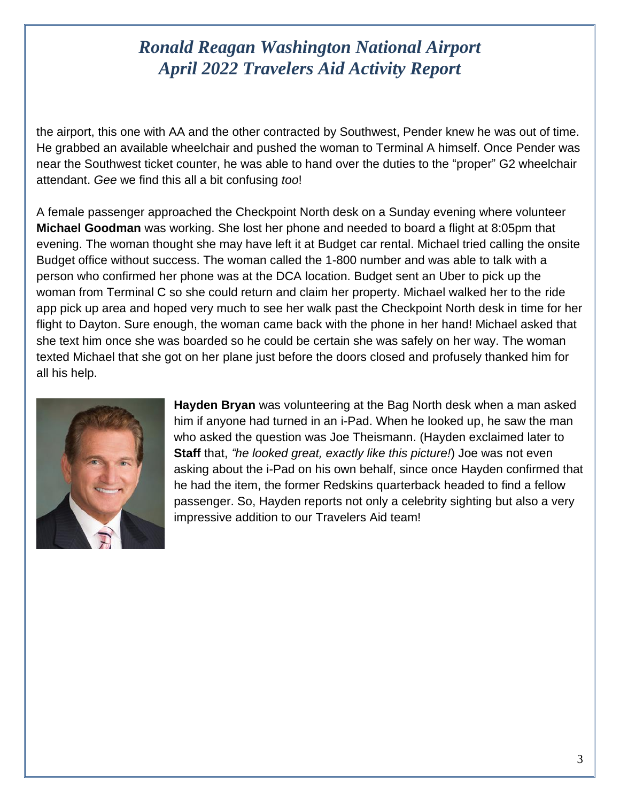# *Ronald Reagan Washington National Airport April 2022 Travelers Aid Activity Report*

the airport, this one with AA and the other contracted by Southwest, Pender knew he was out of time. He grabbed an available wheelchair and pushed the woman to Terminal A himself. Once Pender was near the Southwest ticket counter, he was able to hand over the duties to the "proper" G2 wheelchair attendant. *Gee* we find this all a bit confusing *too*!

A female passenger approached the Checkpoint North desk on a Sunday evening where volunteer **Michael Goodman** was working. She lost her phone and needed to board a flight at 8:05pm that evening. The woman thought she may have left it at Budget car rental. Michael tried calling the onsite Budget office without success. The woman called the 1-800 number and was able to talk with a person who confirmed her phone was at the DCA location. Budget sent an Uber to pick up the woman from Terminal C so she could return and claim her property. Michael walked her to the ride app pick up area and hoped very much to see her walk past the Checkpoint North desk in time for her flight to Dayton. Sure enough, the woman came back with the phone in her hand! Michael asked that she text him once she was boarded so he could be certain she was safely on her way. The woman texted Michael that she got on her plane just before the doors closed and profusely thanked him for all his help.



**Hayden Bryan** was volunteering at the Bag North desk when a man asked him if anyone had turned in an i-Pad. When he looked up, he saw the man who asked the question was Joe Theismann. (Hayden exclaimed later to **Staff** that, *"he looked great, exactly like this picture!*) Joe was not even asking about the i-Pad on his own behalf, since once Hayden confirmed that he had the item, the former Redskins quarterback headed to find a fellow passenger. So, Hayden reports not only a celebrity sighting but also a very impressive addition to our Travelers Aid team!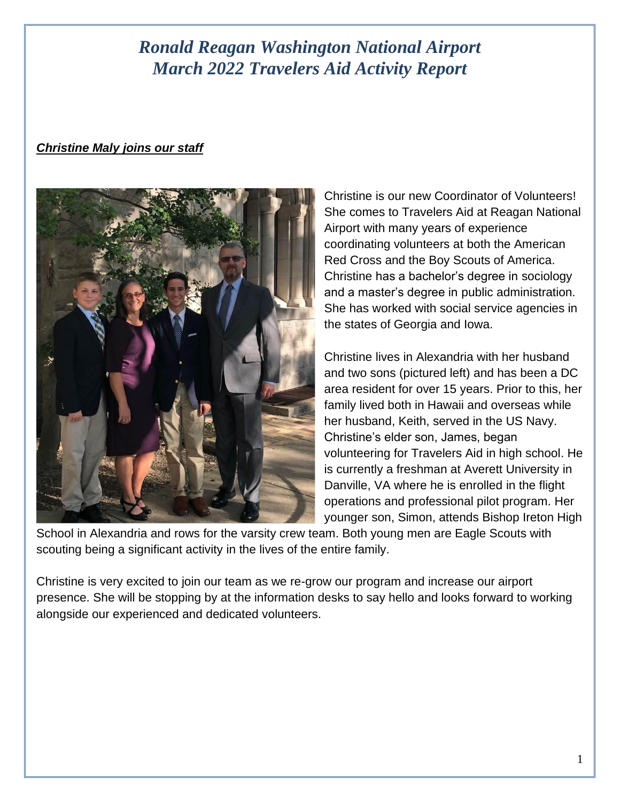## *Ronald Reagan Washington National Airport March 2022 Travelers Aid Activity Report*

#### *Christine Maly joins our staff*



Christine is our new Coordinator of Volunteers! She comes to Travelers Aid at Reagan National Airport with many years of experience coordinating volunteers at both the American Red Cross and the Boy Scouts of America. Christine has a bachelor's degree in sociology and a master's degree in public administration. She has worked with social service agencies in the states of Georgia and Iowa.

Christine lives in Alexandria with her husband and two sons (pictured left) and has been a DC area resident for over 15 years. Prior to this, her family lived both in Hawaii and overseas while her husband, Keith, served in the US Navy. Christine's elder son, James, began volunteering for Travelers Aid in high school. He is currently a freshman at Averett University in Danville, VA where he is enrolled in the flight operations and professional pilot program. Her younger son, Simon, attends Bishop Ireton High

School in Alexandria and rows for the varsity crew team. Both young men are Eagle Scouts with scouting being a significant activity in the lives of the entire family.

Christine is very excited to join our team as we re-grow our program and increase our airport presence. She will be stopping by at the information desks to say hello and looks forward to working alongside our experienced and dedicated volunteers.